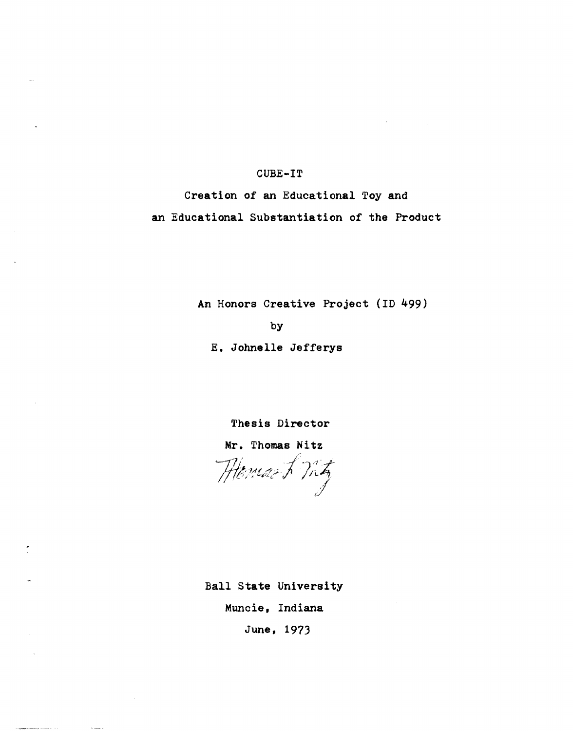## **CUBE-IT**

**Creation of an Educational Toy and an Educational SUbstantiation of the Product** 

**An Honors Creative Project (ID 499)** 

**by** 

**E. Johnelle Jefferys** 

**Thesis Director** 

**Mr. Thomas Nitz** 

 $\frac{r}{\mu}$ . Thomas Nitz ',. .7.4 *,t,* // ;J.' . *;,W;{,* I\_pl.~ <sup>I</sup>/IL4" I.J

**Ball State University Muncie, Indiana** 

**June, 1973**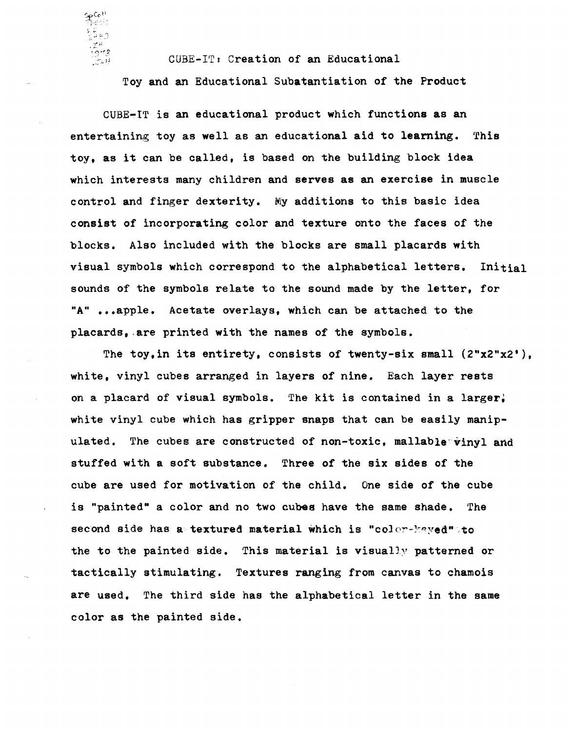CUBE-IT: Creation of an Educational

! 973.

 $\frac{27}{100}$ 

Toy and an Educational SUbatantiation of the Product

CUBE-IT is an educational product which functions as an entertaining toy as well as an educational aid to learning. This toy. as it can be called, is based on the building block idea which interests many children and serves as an exercise in muscle control and finger dexterity. My additions to this basic idea consist of incorporating color and texture onto the faces of the blocks. Also included with the blocks are small placards with visual symbols which correspond to the alphabetical letters. Initial sounds of the symbols relate to the sound made by the letter, for "A" ...apple. Acetate overlays, which can be attached to the placards,.are printed with the names of the symbols.

The toy.in its entirety. consists of twenty-six small (2"x2"x2'), white, vinyl cubes arranged in layers of nine. Each layer rests on a placard of visual symbols. The kit is contained in a larger, white vinyl cube which has gripper snaps that can be easily manipulated. The cubes are constructed of non-toxic, mallable vinyl and stuffed with a soft substance. Three of the six sides of the cube are used for motivation of the child. One side of the cube is "painted" a color and no two cubes have the same shade. The second side has a textured material which is "color-kayed" to the to the painted side. This material is visually patterned or tactically stimulating. Textures ranging from canvas to chamois are used. The third side has the alphabetical letter in the same color as the painted side.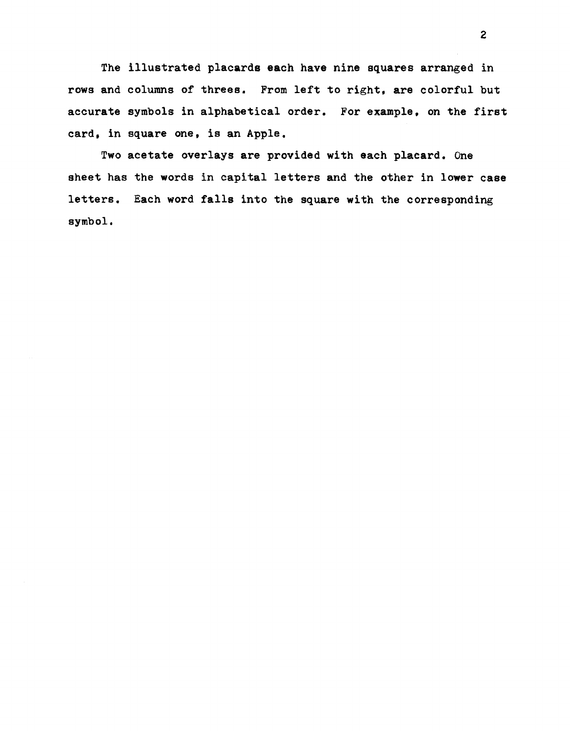The illustrated placards each have nine squares arranged in rows and columns of threes. From left to right, are colorful but accurate symbols in alphabetical order. For example, on the first card. in square one, is an Apple.

Two acetate overlays are provided with each placard. One sheet has the words in capital letters and the other in lower case letters. Each word falls into the square with the corresponding symbol.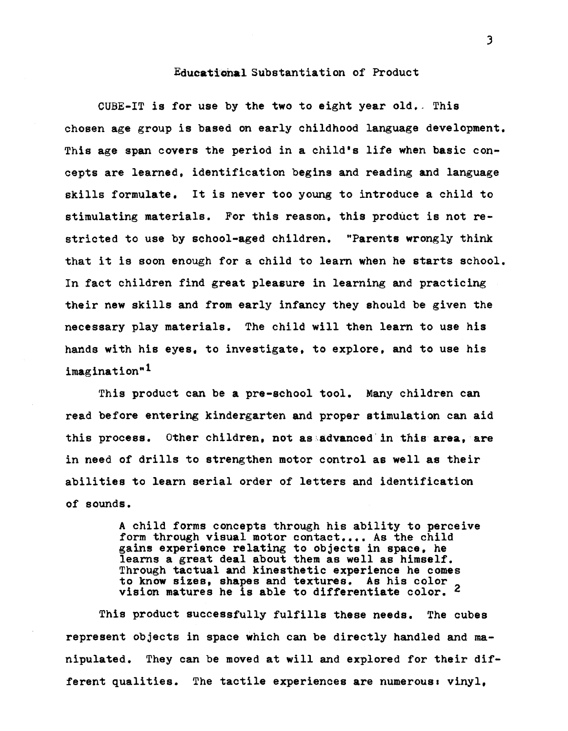## Educational Substantiation of Product

CUBE-IT is for use by the two to eight year old. This chosen age group is based on early childhood language development. This age span covers the period in a child's life when basic concepts are learned, identification begins and reading and language skills formulate. It is never too young to introduce a child to stimulating materials. For this reason. this product is not restricted to use by school-aged children. "Parents wrongly think that it is soon enough for a child to learn when he starts school. In fact children find great pleasure in learning and practicing their new skills and from early infancy they should be given the necessary play materials. The child will then learn to use his hands with his eyes, to investigate, to explore, and to use his imagination"<sup>1</sup>

This product can be a pre-school tool. Many children can read before entering kindergarten and proper stimulation can aid this process. Other children, not as advanced in this area, are in need of drills to strengthen motor control as well as their abilities to learn serial order of letters and identification of sounds.

> A child forms concepts through his ability to perceive form through visual motor contact.... As the child gains experience relating to objects in space, he learns a great deal about them as well as himself. Through tactual and kinesthetic experience he comes to know sizes, shapes and textures. As his color vision matures he is able to differentiate color. 2

This product successfully fulfills these needs. The cubes represent objects in space which can be directly handled and manipulated. They can be moved at will and explored for their different qualities. The tactile experiences are numerous: vinyl.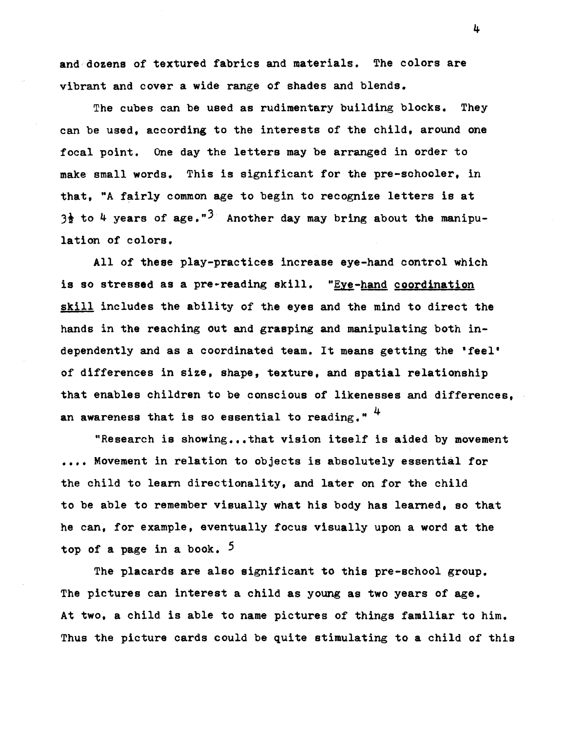and dozens of textured fabrics and materials. The colors are vibrant and cover a wide range of shades and blends.

The cubes can be used as rudimentary building blocks. They can be used, according to the interests of the child, around one focal point. One day the letters may be arranged in order to make small words. This is significant for the pre-schooler, in that, "A fairly common age to begin to recognize letters is at 3<sup> $\frac{1}{2}$ </sup> to 4 years of age."<sup>3</sup> Another day may bring about the manipulation of colors.

All of these play-practices increase eye-hand control which is so stressed as a pre-reading skill. "Eye-hand coordination skill includes the ability of the eyes and the mind to direct the hands in the reaching out and grasping and manipulating both independently and as a coordinated team. It means getting the 'feel' of differences in size, shape, texture, and spatial relationship that enables children to be conscious of likenesses and differences, an awareness that is so essential to reading."  $4$ 

"Research is showing...that vision itself is aided by movement .... Movement in relation to objects is absolutely essential for the child to learn directionality, and later on for the child to be able to remember visually what his body has learned, so that he can, for example, eventually focus visually upon a word at the top of a page in a book.  $5$ 

The placards are also significant to this pre-school group. The pictures can interest a child as young as two years of age. At two, a child is able to name pictures of things familiar to him. Thus the picture cards could be quite stimulating to a child of this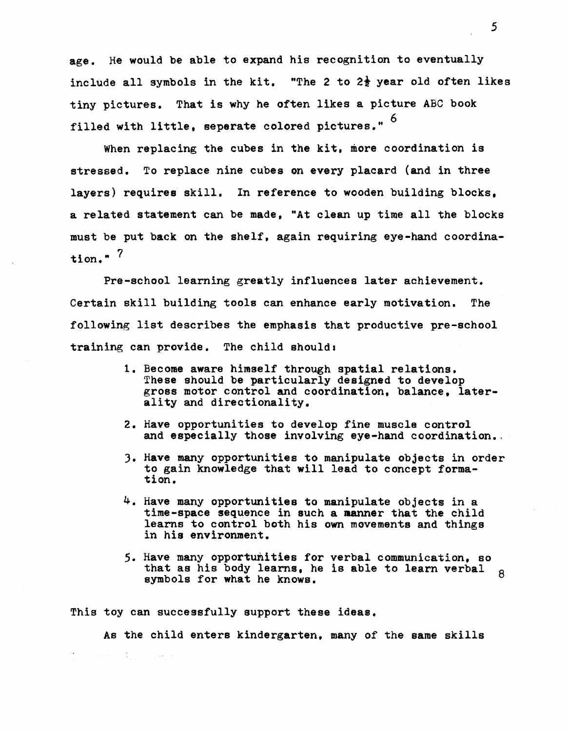age. He would be able to expand his recognition to eventually include all symbols in the kit. "The 2 to  $2\frac{1}{2}$  year old often likes tiny pictures. That is why he often likes a picture ABC book filled with little, seperate colored pictures."  $6$ 

When replacing the cubes in the kit, more coordination is stressed. To replace nine cubes on every placard (and in three layers) requires skill. In reference to wooden building blocks, a related statement can be made, "At clean up time all the blocks must be put back on the shelf, again requiring eye-hand coordination." $<sup>7</sup>$ </sup>

Pre-school learning greatly influences later achievement. Certain skill building tools can enhance early motivation. The following list describes the emphasis that productive pre-school training can provide. The child should.

- 1. Become aware himself through spatial relations. These should be particularly designed to develop gross motor control and coordination, balance, laterality and directionality.
- 2. Have opportunities to develop fine muscle control and especially those involving eye-hand coordination.
- ). Have many opportunities to manipulate objects in order to gain knowledge that will lead to concept formation.
- 4. Have many opportunities to manipulate objects in a time-space sequence in such a manner that the child learns to control both his own movements and things in his environment.
- 5. Have many opportunities for verbal communication, so that as his body learns, he is able to learn verbal 8<br>symbols for what he knows symbols for what he knows.

This toy can successfully support these ideas.

As the child enters kindergarten, many of the same skills  $\mathbb{E}[\mathcal{H}^{\mathcal{A}}_{\mathcal{A}}]$  and the contribution of  $\mathcal{H}^{\mathcal{A}}_{\mathcal{A}}$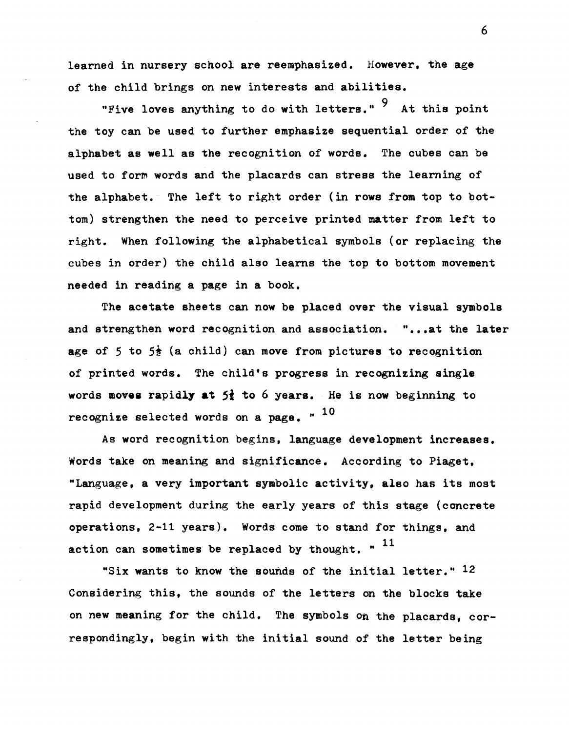learned in nursery school are reemphasized. However, the age of the child brings on new interests and abilities.

"Five loves anything to do with letters."  $9$  At this point the toy can be used to further emphasize sequential order of the alphabet as well as the recognition of words. The cubes can be used to form words and the placards can stress the learning of the alphabet. The left to right order (in rows from top to bottom) strengthen the need to perceive printed matter from left to right. When following the alphabetical symbols (or replacing the cubes in order) the child also learns the top to bottom movement needed in reading a page in a book.

The acetate sheets can now be placed over the visual symbols and strengthen word recognition and association. "...at the later age of 5 to  $5\frac{1}{2}$  (a child) can move from pictures to recognition of printed words. The child's progress in recognizing single words movea rapidly **at** 51 to 6 years. He is now beginning to recognize selected words on a page.  $"$   $^{10}$ 

As word recognition begins, language development increases. Words take on meaning and significance. According to Piaget. "Language, a very important symbolic activity, also has its most rapid development during the early years of this stage (concrete operations, 2-11 years). Words come to stand for things, and action can sometimes be replaced by thought.  $"$   $^{11}$ 

"Six wants to know the sounds of the initial letter."  $12$ Considering this, the sounds of the letters on the blocks take on new meaning for the child. The symbols on the placards, correspondingly, begin with the initial sound of the letter being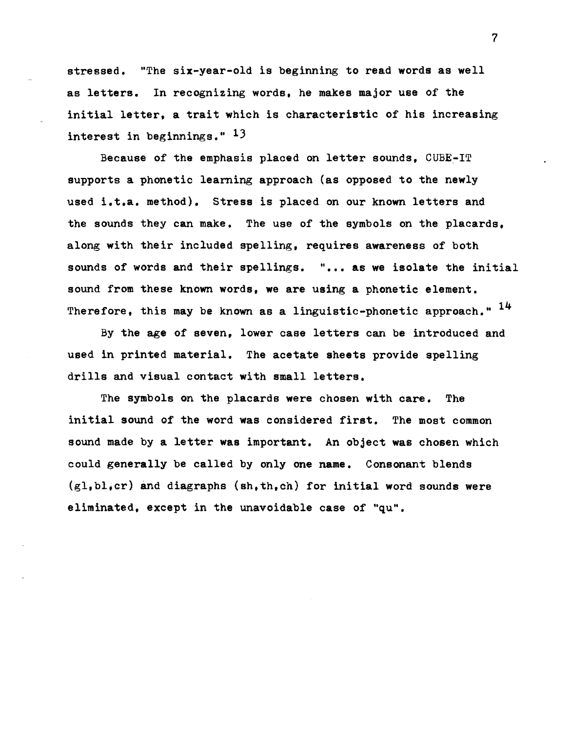stressed. "The six-year-old is beginning to read words as well as letters. In recognizing words, he makes major use of the initial letter, a trait which is characteristic of his increasing interest in beginnings." <sup>13</sup>

Because of the emphasis placed on letter sounds, CUBE~IT supports a phonetic learning approach (as opposed to the newly used i.t.a. method). Stress is placed on our known letters and the sounds they can make. The use of the symbols on the placards, along with their included spelling, requires awareness of both sounds of words and their spellings. "... as we isolate the initial sound from these known words, we are using a phonetic element. Therefore, this may be known as a linguistic-phonetic approach."  $14$ 

By the age of seven, lower case letters can be introduced and used in printed material. The acetate sheets provide spelling drills and visual contact with small letters.

The symbols on the placards were chosen with care. The initial sound of the word was considered first. The most common sound made by a letter was important. An object was chosen which could generally be called by only one name. Consonant blends  $(g1,b1,cr)$  and diagraphs  $(sh,th,ch)$  for initial word sounds were eliminated, except in the unavoidable case of "qu".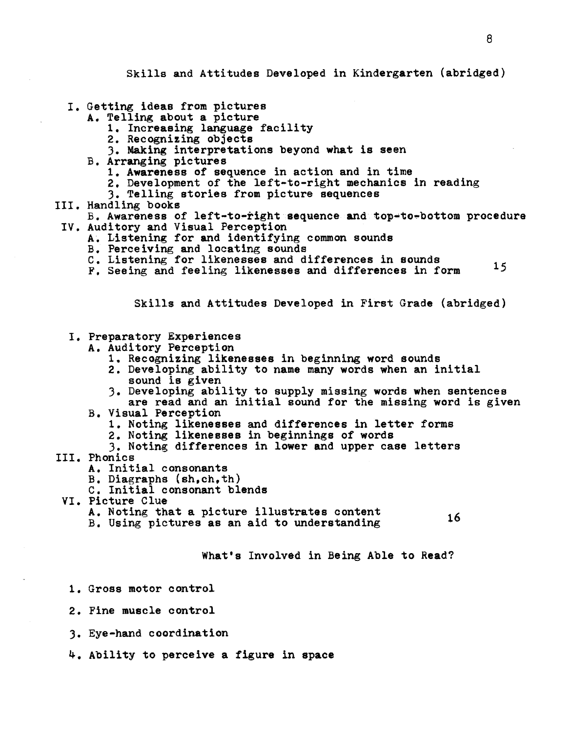Skills and Attitudes Developed in Kindergarten (abridged)

- I. Getting ideas from pictures A. Telling about a picture
	- - 1. Increasing language facility<br>2. Recognizing objects
		-
		- 3. Making interpretations beyond what is seen
	- B. Arranging pictures
		- 1. Awareness of sequence in action and in time
		- 2. Development of the left-to-right mechanics in reading 3. Telling stories from picture sequences
			-
- III. Handling books
- B. Awareness of left-to-right sequence and top-to-bottom procedure IV. Auditory and Visual Perception A. Listening for and identifying common sounds
	- - B. Perceiving and locating sounds
		- C. Listening for likenesses and differences in sounds
		- F. Seeing and feeling likenesses and differences in form 15

Skills and Attitudes Developed in First Grade (abridged)

- I. Preparatory Experiences
	- A. Auditory Perception
		- 1. Recognizing likenesses in beginning word sounds
		- 2. Developing ability to name many words when an initial sound is given
		- 3. Developing ability to supply missing words when sentences are read and an initial sound for the missing word is given
	- B. Visual Perception
		- 1. Noting likenesses and differences in letter forms
		- 2. Noting likenesses in beginnings of words
	- 3. Noting differences in lower and upper case letters
- III. Phonics
	- A. Initial consonants
	- B. Diagraphs (sh,ch,th)
	- C. Initial consonant blends
- VI. Picture Clue
	- A. Noting that a picture illustrates content
	- B. Using pictures as an aid to understanding 16

What's Involved in Being Able to Read?

- 1. Gross motor control
- 2. Fine muscle control
- 3. Eye-hand coordination
- 4. Ability to perceive a figure in space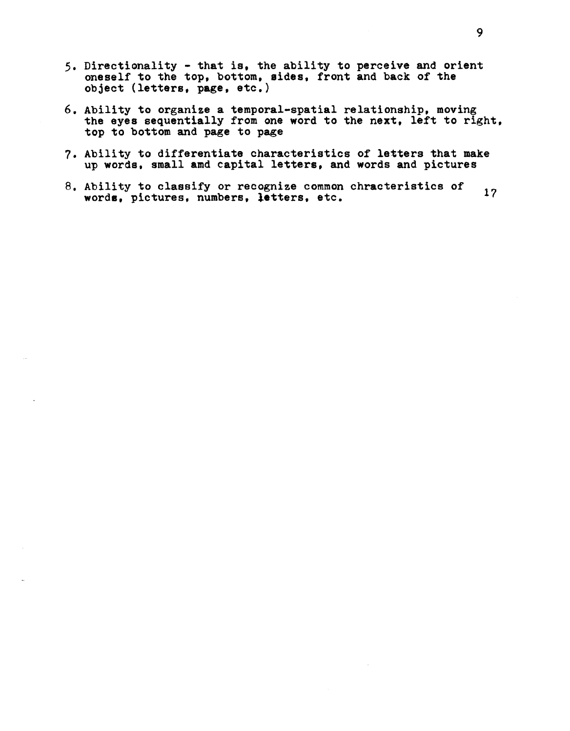- 5. Directionality that is. the ability to perceive and orient oneself to the top. bottom, sides, front and back of the object (letters, page, etc.)
- 6. Ability to organize a temporal-spatial relationship, moving the eyes sequentially from one word to the next, left to right, top to bottom and page to page
- 7. Ability to differentiate characteristics of letters that make up words. small amd capital letters, and words and pictures
- 8. Ability to classify or recognize common chracteristics of AUILITY TO CLASSITY OF FECOGILIZE COMMON CHPACTERISTICS OF 17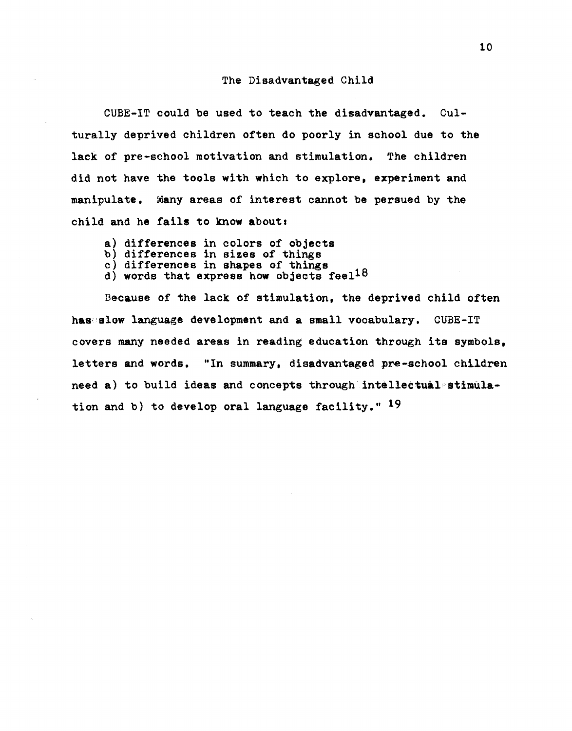## The Disadvantaged Child

CUBE-IT could be used to teach the disadvantaged. Culturally deprived children often do poorly in school due to the lack of pre-school motivation and stimulation. The children did not have the tools with which to explore, experiment and manipulate. Many areas of interest cannot be persued by the child and he fails to know about.

- 
- 
- 
- a) differences in colors of objects<br>b) differences in sizes of things<br>c) differences in shapes of things<br>d) words that express how objects feel<sup>18</sup>

Because of the lack of stimulation, the deprived child often has slow language development and a small vocabulary. CUBE-IT covers many needed areas in reading education through its symbols, letters and words. "In summary, disadvantaged pre-school children need a) to build ideas and concepts through intellectual stimulation and b) to develop oral language facility."  $19$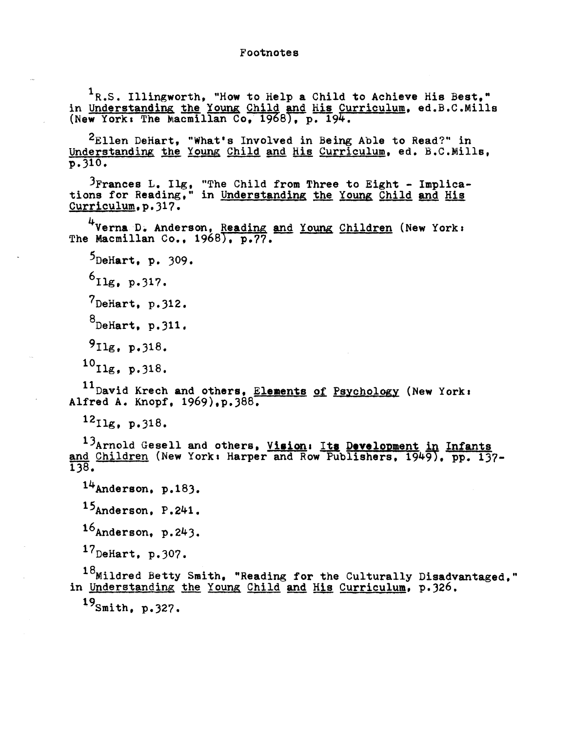<sup>1</sup>R.S. Illingworth, "How to Help a Child to Achieve His Best,"<br>in Understanding the Young Child and His Curriculum, ed.B.C.Mills (New York: The Macmillan Co,  $1968$ ), p.  $194$ .

2Ellen DeHart, "What's Involved in Being Able to Read?" in Understanding the Young Child and His Curriculum, ed. B.C.Mills, p. 310.

 $\frac{3}{5}$  Frances L. Ilg. "The Child from Three to Eight - Implications for Reading." in Understanding the Young Child and His Curriculum.p.317.

<sup>4</sup>Verna D. Anderson, Reading and Young Children (New York: The Macmillan Co., 1968), p.77.

 $5$ DeHart, p. 309.

 $6$ Ilg, p.317.

 $7$ DeHart, p. 312.

 $8$ DeHart, p. 311.

9IIg, p.)18.

 $^{10}$ Ilg, p. 318.

11 David Krech and others, Elements of Psychology (New York: Alfred A. Knopf. 1969).p.388.

 $^{12}$ Ilg, p.318.

13<sub>Arnold</sub> Gesell and others, Vision, Its Development in Infants and Children (New York: Harper and Row Publishers, 1949), pp. 137-1)8.

 $14$ Anderson, p.183.

15Anderson, P.241.

 $16$ Anderson, p.243.

 $17$ DeHart. p.307.

 $18$ Mildred Betty Smith. "Reading for the Culturally Disadvantaged." in Understanding the Young Child and His Curriculum, p.326.

19smith. p.)27.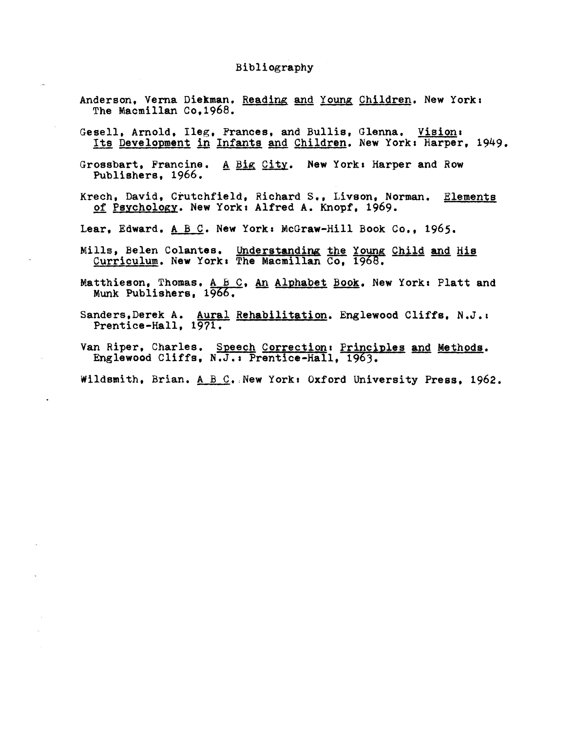## Bibliography

- Anderson, Verna Diekman. Reading and Young Children. New York: The Macmillan Co.1968.
- Gesell, Arnold, Ileg, Frances, and Bullis, Glenna. Vision: Its Development in Infants and Children. New York: Harper, 1949.
- Grossbart, Francine. A Big City. New York: Harper and Row Publishers, 1966.
- Krech, David. Crutchfield, Richard S., Livson. Norman. Elements of Psychology. New York: Alfred A. Knopf, 1969.

Lear, Edward. A B C. New York: McGraw-Hill Book Co., 1965.

- Mills, Belen Colantes. Understanding the Young Child and His Curriculum. New York: The Macmillan Co, 1968.
- Matthieson, Thomas. A  $B\,C$ , An Alphabet Book. New York: Platt and Munk Publishers, 1966.
- Sanders, Derek A. Aural Rehabilitation. Englewood Cliffs, N.J.: Prentice-Hall, 1971.
- Van Riper, Charles. Speech Correction: Principles and Methods. Englewood Cliffs, N.J.: Prentice-Hall, 1963.

Wildsmith, Brian.  $A \ B \ C$ . New York: Oxford University Press, 1962.